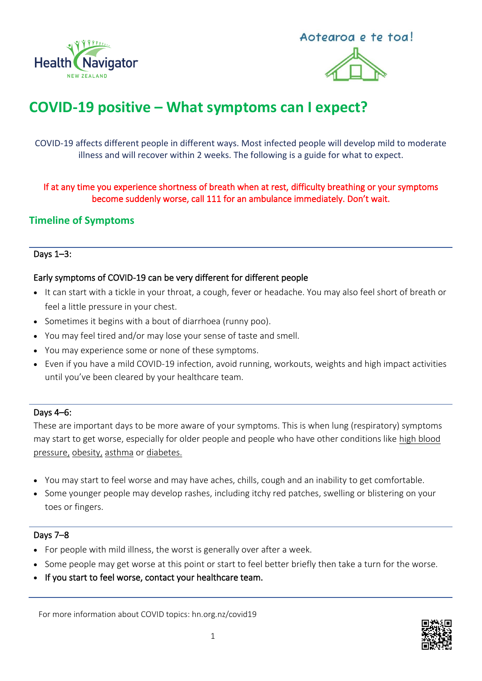



# **COVID-19 positive – What symptoms can I expect?**

COVID-19 affects different people in different ways. Most infected people will develop mild to moderate illness and will recover within 2 weeks. The following is a guide for what to expect.

If at any time you experience shortness of breath when at rest, difficulty breathing or your symptoms become suddenly worse, call 111 for an ambulance immediately. Don't wait.

# **Timeline of Symptoms**

## Days 1–3:

## Early symptoms of COVID-19 can be very different for different people

- It can start with a tickle in your throat, a cough, fever or headache. You may also feel short of breath or feel a little pressure in your chest.
- Sometimes it begins with a bout of diarrhoea (runny poo).
- You may feel tired and/or may lose your sense of taste and smell.
- You may experience some or none of these symptoms.
- Even if you have a mild COVID-19 infection, avoid running, workouts, weights and high impact activities until you've been cleared by your healthcare team.

#### Days 4–6:

These are important days to be more aware of your symptoms. This is when lung (respiratory) symptoms may start to get worse, especially for older people and people who have other conditions like [high blood](https://www.healthnavigator.org.nz/health-a-z/b/blood-pressure-high/)  [pressure,](https://www.healthnavigator.org.nz/health-a-z/b/blood-pressure-high/) [obesity,](https://www.healthnavigator.org.nz/health-a-z/o/obesity/) [asthma](https://www.healthnavigator.org.nz/health-a-z/a/asthma/) or [diabetes.](https://www.healthnavigator.org.nz/health-a-z/d/diabetes/) 

- You may start to feel worse and may have aches, chills, cough and an inability to get comfortable.
- Some younger people may develop rashes, including itchy red patches, swelling or blistering on your toes or fingers.

#### Days 7–8

- For people with mild illness, the worst is generally over after a week.
- Some people may get worse at this point or start to feel better briefly then take a turn for the worse.
- If you start to feel worse, contact your healthcare team.

For more information about COVID topics: hn.org.nz/covid19